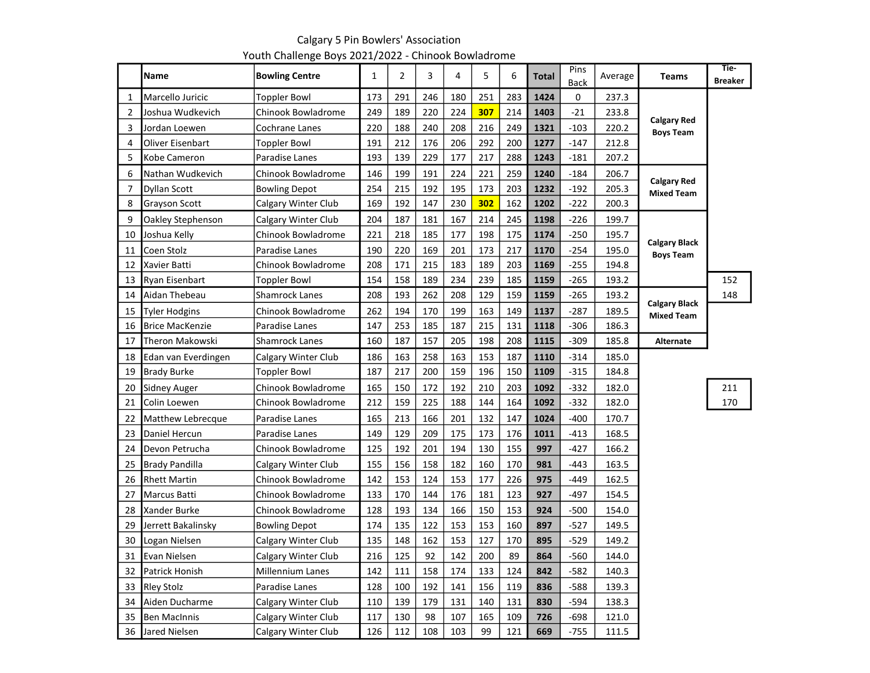|                | Name                   | <b>Bowling Centre</b> | 1   | $\overline{2}$ | 3   | 4   | 5   | 6   | <b>Total</b> | Pins<br><b>Back</b> | Average | <b>Teams</b>                              | Tie-<br><b>Breaker</b> |
|----------------|------------------------|-----------------------|-----|----------------|-----|-----|-----|-----|--------------|---------------------|---------|-------------------------------------------|------------------------|
| $\mathbf{1}$   | Marcello Juricic       | <b>Toppler Bowl</b>   | 173 | 291            | 246 | 180 | 251 | 283 | 1424         | 0                   | 237.3   |                                           |                        |
| $\overline{2}$ | Joshua Wudkevich       | Chinook Bowladrome    | 249 | 189            | 220 | 224 | 307 | 214 | 1403         | $-21$               | 233.8   |                                           |                        |
| 3              | Jordan Loewen          | Cochrane Lanes        | 220 | 188            | 240 | 208 | 216 | 249 | 1321         | $-103$              | 220.2   | <b>Calgary Red</b><br><b>Boys Team</b>    |                        |
| 4              | Oliver Eisenbart       | <b>Toppler Bowl</b>   | 191 | 212            | 176 | 206 | 292 | 200 | 1277         | $-147$              | 212.8   |                                           |                        |
| 5              | Kobe Cameron           | Paradise Lanes        | 193 | 139            | 229 | 177 | 217 | 288 | 1243         | $-181$              | 207.2   |                                           |                        |
| 6              | Nathan Wudkevich       | Chinook Bowladrome    | 146 | 199            | 191 | 224 | 221 | 259 | 1240         | $-184$              | 206.7   |                                           |                        |
| 7              | <b>Dyllan Scott</b>    | <b>Bowling Depot</b>  | 254 | 215            | 192 | 195 | 173 | 203 | 1232         | $-192$              | 205.3   | <b>Calgary Red</b><br><b>Mixed Team</b>   |                        |
| 8              | <b>Grayson Scott</b>   | Calgary Winter Club   | 169 | 192            | 147 | 230 | 302 | 162 | 1202         | $-222$              | 200.3   |                                           |                        |
| 9              | Oakley Stephenson      | Calgary Winter Club   | 204 | 187            | 181 | 167 | 214 | 245 | 1198         | -226                | 199.7   |                                           |                        |
| 10             | Joshua Kelly           | Chinook Bowladrome    | 221 | 218            | 185 | 177 | 198 | 175 | 1174         | $-250$              | 195.7   |                                           |                        |
| 11             | Coen Stolz             | Paradise Lanes        | 190 | 220            | 169 | 201 | 173 | 217 | 1170         | $-254$              | 195.0   | <b>Calgary Black</b><br><b>Boys Team</b>  |                        |
| 12             | Xavier Batti           | Chinook Bowladrome    | 208 | 171            | 215 | 183 | 189 | 203 | 1169         | -255                | 194.8   |                                           |                        |
| 13             | Ryan Eisenbart         | Toppler Bowl          | 154 | 158            | 189 | 234 | 239 | 185 | 1159         | $-265$              | 193.2   |                                           | 152                    |
| 14             | Aidan Thebeau          | <b>Shamrock Lanes</b> | 208 | 193            | 262 | 208 | 129 | 159 | 1159         | -265                | 193.2   |                                           | 148                    |
| 15             | Tyler Hodgins          | Chinook Bowladrome    | 262 | 194            | 170 | 199 | 163 | 149 | 1137         | -287                | 189.5   | <b>Calgary Black</b><br><b>Mixed Team</b> |                        |
| 16             | <b>Brice MacKenzie</b> | Paradise Lanes        | 147 | 253            | 185 | 187 | 215 | 131 | 1118         | $-306$              | 186.3   |                                           |                        |
| 17             | Theron Makowski        | <b>Shamrock Lanes</b> | 160 | 187            | 157 | 205 | 198 | 208 | 1115         | $-309$              | 185.8   | <b>Alternate</b>                          |                        |
| 18             | Edan van Everdingen    | Calgary Winter Club   | 186 | 163            | 258 | 163 | 153 | 187 | 1110         | $-314$              | 185.0   |                                           |                        |
| 19             | <b>Brady Burke</b>     | Toppler Bowl          | 187 | 217            | 200 | 159 | 196 | 150 | 1109         | $-315$              | 184.8   |                                           |                        |
| 20             | Sidney Auger           | Chinook Bowladrome    | 165 | 150            | 172 | 192 | 210 | 203 | 1092         | $-332$              | 182.0   |                                           | 211                    |
| 21             | Colin Loewen           | Chinook Bowladrome    | 212 | 159            | 225 | 188 | 144 | 164 | 1092         | $-332$              | 182.0   |                                           | 170                    |
| 22             | Matthew Lebrecque      | Paradise Lanes        | 165 | 213            | 166 | 201 | 132 | 147 | 1024         | -400                | 170.7   |                                           |                        |
| 23             | Daniel Hercun          | Paradise Lanes        | 149 | 129            | 209 | 175 | 173 | 176 | 1011         | -413                | 168.5   |                                           |                        |
| 24             | Devon Petrucha         | Chinook Bowladrome    | 125 | 192            | 201 | 194 | 130 | 155 | 997          | -427                | 166.2   |                                           |                        |
| 25             | <b>Brady Pandilla</b>  | Calgary Winter Club   | 155 | 156            | 158 | 182 | 160 | 170 | 981          | -443                | 163.5   |                                           |                        |
| 26             | <b>Rhett Martin</b>    | Chinook Bowladrome    | 142 | 153            | 124 | 153 | 177 | 226 | 975          | -449                | 162.5   |                                           |                        |
| 27             | Marcus Batti           | Chinook Bowladrome    | 133 | 170            | 144 | 176 | 181 | 123 | 927          | -497                | 154.5   |                                           |                        |
| 28             | Xander Burke           | Chinook Bowladrome    | 128 | 193            | 134 | 166 | 150 | 153 | 924          | $-500$              | 154.0   |                                           |                        |
| 29             | Jerrett Bakalinsky     | Bowling Depot         | 174 | 135            | 122 | 153 | 153 | 160 | 897          | $-527$              | 149.5   |                                           |                        |
| 30             | Logan Nielsen          | Calgary Winter Club   | 135 | 148            | 162 | 153 | 127 | 170 | 895          | -529                | 149.2   |                                           |                        |
| 31             | Evan Nielsen           | Calgary Winter Club   | 216 | 125            | 92  | 142 | 200 | 89  | 864          | -560                | 144.0   |                                           |                        |
| 32             | Patrick Honish         | Millennium Lanes      | 142 | 111            | 158 | 174 | 133 | 124 | 842          | $-582$              | 140.3   |                                           |                        |
| 33             | Rley Stolz             | Paradise Lanes        | 128 | 100            | 192 | 141 | 156 | 119 | 836          | $-588$              | 139.3   |                                           |                        |
| 34             | Aiden Ducharme         | Calgary Winter Club   | 110 | 139            | 179 | 131 | 140 | 131 | 830          | $-594$              | 138.3   |                                           |                        |
| 35             | <b>Ben MacInnis</b>    | Calgary Winter Club   | 117 | 130            | 98  | 107 | 165 | 109 | 726          | $-698$              | 121.0   |                                           |                        |
| 36             | Jared Nielsen          | Calgary Winter Club   | 126 | 112            | 108 | 103 | 99  | 121 | 669          | $-755$              | 111.5   |                                           |                        |

Calgary 5 Pin Bowlers' Association Youth Challenge Boys 2021/2022 - Chinook Bowladrome